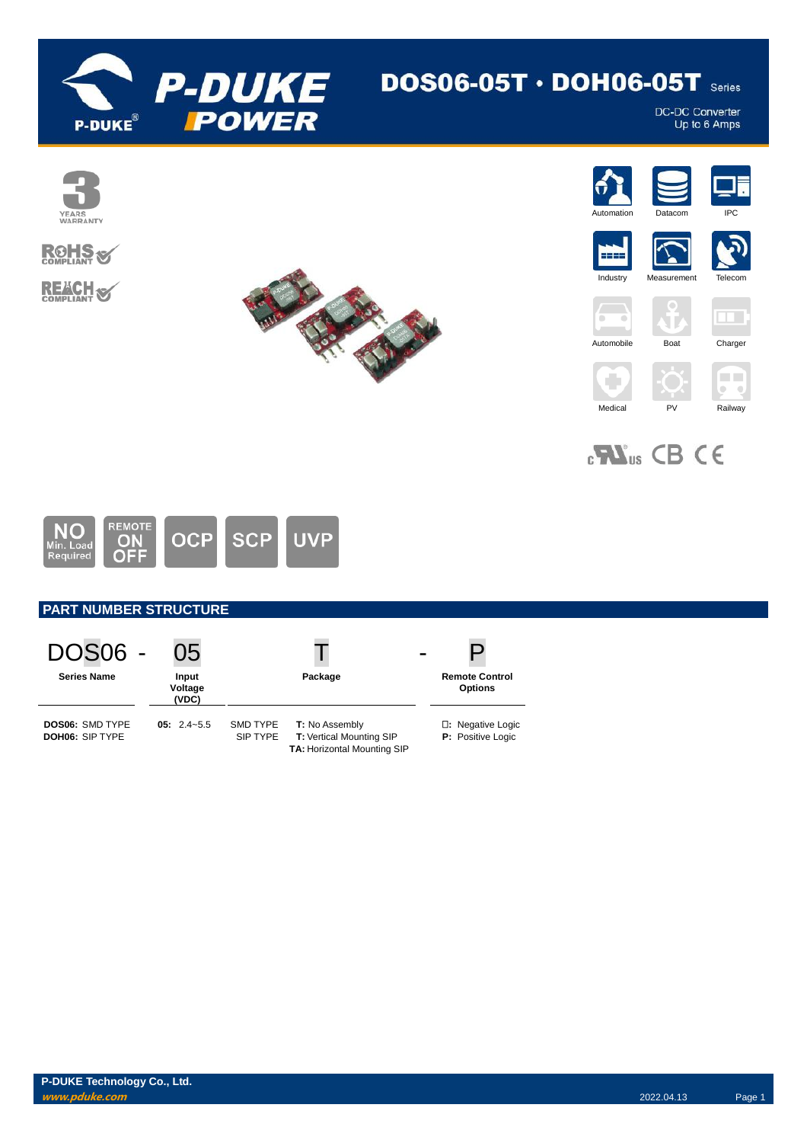

# $DOS06-05T \cdot DOH06-05T$  Series

DC-DC Converter<br>Up to 6 Amps



 $_{c}$ <sub>M</sub> $_{us}$  CB CE



# **PART NUMBER STRUCTURE**

| <b>DOS06 -</b>                                   | 05                        |                      |                                                                           |                                               |
|--------------------------------------------------|---------------------------|----------------------|---------------------------------------------------------------------------|-----------------------------------------------|
| <b>Series Name</b>                               | Input<br>Voltage<br>(VDC) |                      | Package                                                                   | <b>Remote Control</b><br><b>Options</b>       |
| <b>DOS06: SMD TYPE</b><br><b>DOH06: SIP TYPE</b> | $05: 2.4 - 5.5$           | SMD TYPE<br>SIP TYPE | T: No Assembly<br>T: Vertical Mounting SIP<br>TA: Horizontal Mounting SIP | <b>D:</b> Negative Logic<br>P: Positive Logic |

**P-DUKE Technology Co., Ltd. www.pduke.com** 2022.04.13 Page 1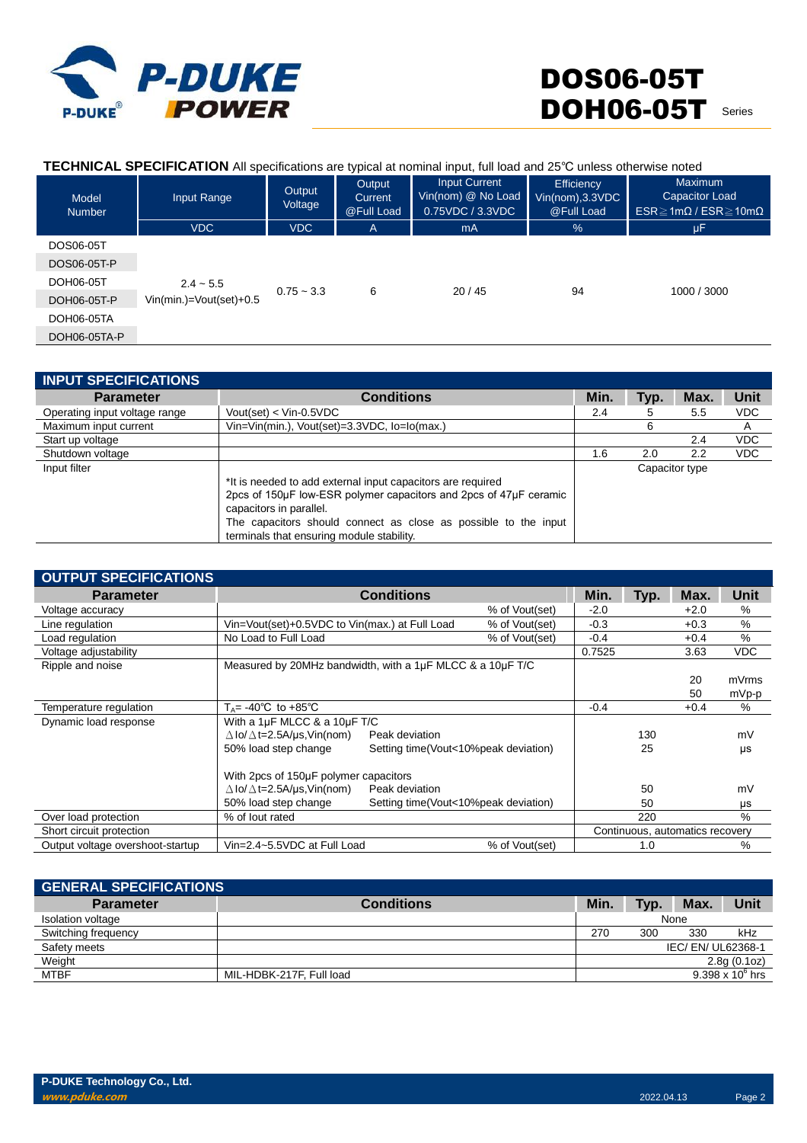

#### **TECHNICAL SPECIFICATION** All specifications are typical at nominal input, full load and 25℃ unless otherwise noted Model Input Range **Output** Voltage **Output Current** Input Current Vin(nom) @ No Load **Efficiency** Vin(nom),3.3VDC Maximum Capacitor Load

| <b>Number</b> |                                        | voltage      | @Full Load   | 0.75VDC / 3.3VDC | @Full Load | $ESR \geq 1m\Omega$ / $ESR \geq 10m\Omega$ |
|---------------|----------------------------------------|--------------|--------------|------------------|------------|--------------------------------------------|
|               | <b>VDC</b>                             | <b>VDC</b>   | $\mathsf{A}$ | mA               | %          | μF                                         |
| DOS06-05T     |                                        |              |              |                  |            |                                            |
| DOS06-05T-P   | $2.4 - 5.5$<br>Vin(min.)=Vout(set)+0.5 | $0.75 - 3.3$ | 6            | 20/45            | 94         | 1000 / 3000                                |
| DOH06-05T     |                                        |              |              |                  |            |                                            |
| DOH06-05T-P   |                                        |              |              |                  |            |                                            |
| DOH06-05TA    |                                        |              |              |                  |            |                                            |
| DOH06-05TA-P  |                                        |              |              |                  |            |                                            |

| <b>INPUT SPECIFICATIONS</b>   |                                                                   |      |      |                |            |
|-------------------------------|-------------------------------------------------------------------|------|------|----------------|------------|
| <b>Parameter</b>              | <b>Conditions</b>                                                 | Min. | Typ. | Max.           | Unit       |
| Operating input voltage range | Vout(set) < Vin-0.5VDC                                            | 2.4  | 5    | 5.5            | <b>VDC</b> |
| Maximum input current         | Vin=Vin(min.), Vout(set)=3.3VDC, lo=lo(max.)                      |      | 6    |                | A          |
| Start up voltage              |                                                                   |      |      | 2.4            | <b>VDC</b> |
| Shutdown voltage              |                                                                   | 1.6  | 2.0  | 2.2            | <b>VDC</b> |
| Input filter                  |                                                                   |      |      | Capacitor type |            |
|                               | *It is needed to add external input capacitors are required       |      |      |                |            |
|                               | 2pcs of 150µF low-ESR polymer capacitors and 2pcs of 47µF ceramic |      |      |                |            |
|                               | capacitors in parallel.                                           |      |      |                |            |
|                               | The capacitors should connect as close as possible to the input   |      |      |                |            |
|                               | terminals that ensuring module stability.                         |      |      |                |            |

| <b>OUTPUT SPECIFICATIONS</b>     |                                                           |                                      |                |        |      |                                 |            |
|----------------------------------|-----------------------------------------------------------|--------------------------------------|----------------|--------|------|---------------------------------|------------|
| <b>Parameter</b>                 |                                                           | <b>Conditions</b>                    |                | Min.   | Typ. | Max.                            | Unit       |
| Voltage accuracy                 |                                                           |                                      | % of Vout(set) | $-2.0$ |      | $+2.0$                          | %          |
| Line regulation                  | Vin=Vout(set)+0.5VDC to Vin(max.) at Full Load            |                                      | % of Vout(set) | $-0.3$ |      | $+0.3$                          | %          |
| Load regulation                  | No Load to Full Load                                      |                                      | % of Vout(set) | $-0.4$ |      | $+0.4$                          | $\%$       |
| Voltage adjustability            |                                                           |                                      |                | 0.7525 |      | 3.63                            | <b>VDC</b> |
| Ripple and noise                 | Measured by 20MHz bandwidth, with a 1µF MLCC & a 10µF T/C |                                      |                |        |      |                                 |            |
|                                  |                                                           |                                      |                |        |      | 20                              | mVrms      |
|                                  |                                                           |                                      |                |        |      | 50                              | mVp-p      |
| Temperature regulation           | $T_A$ = -40°C to +85°C                                    |                                      |                | $-0.4$ |      | $+0.4$                          | %          |
| Dynamic load response            | With a 1µF MLCC & a 10µF T/C                              |                                      |                |        |      |                                 |            |
|                                  | $\Delta$ lo/ $\Delta$ t=2.5A/µs,Vin(nom)                  | Peak deviation                       |                |        | 130  |                                 | mV         |
|                                  | 50% load step change                                      | Setting time(Vout<10%peak deviation) |                |        | 25   |                                 | μs         |
|                                  | With 2pcs of 150µF polymer capacitors                     |                                      |                |        |      |                                 |            |
|                                  | $\Delta$ lo/ $\Delta$ t=2.5A/µs,Vin(nom)                  | Peak deviation                       |                |        | 50   |                                 | mV         |
|                                  | 50% load step change                                      | Setting time(Vout<10%peak deviation) |                |        | 50   |                                 | μs         |
| Over load protection             | % of lout rated                                           |                                      |                |        | 220  |                                 | $\%$       |
| Short circuit protection         |                                                           |                                      |                |        |      | Continuous, automatics recovery |            |
| Output voltage overshoot-startup | Vin=2.4~5.5VDC at Full Load                               |                                      | % of Vout(set) |        | 1.0  |                                 | %          |

| <b>GENERAL SPECIFICATIONS</b> |                          |      |      |                  |                    |
|-------------------------------|--------------------------|------|------|------------------|--------------------|
| <b>Parameter</b>              | <b>Conditions</b>        | Min. | Tvp. | Max.             | Unit               |
| Isolation voltage             |                          |      |      | None             |                    |
| Switching frequency           |                          | 270  | 300  | 330              | kHz                |
| Safety meets                  |                          |      |      | IEC/EN/UL62368-1 |                    |
| Weight                        |                          |      |      |                  | 2.8g(0.1oz)        |
| <b>MTBF</b>                   | MIL-HDBK-217F, Full load |      |      |                  | 9.398 x $10^6$ hrs |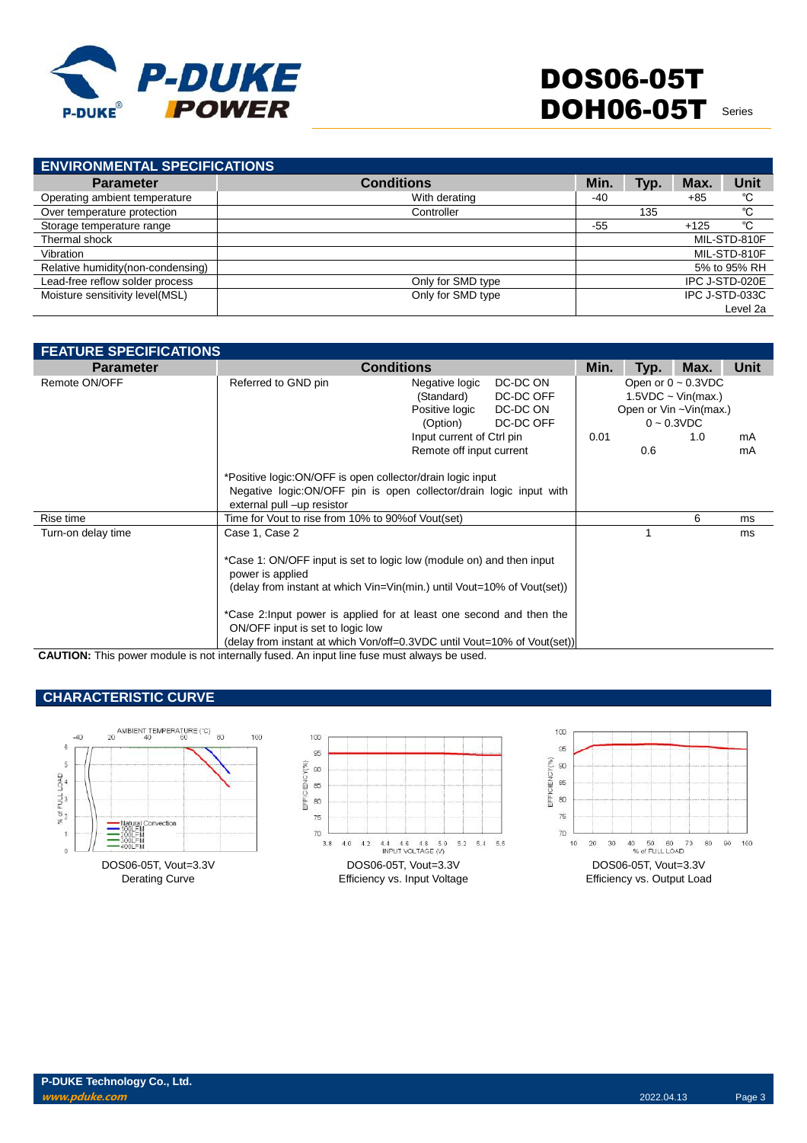

**ENVIRONMENTAL SPECIFICATIONS Parameter Conditions Min. Typ. Max. Unit** Operating ambient temperature and temperature with derating the Microsoft Controller -40 +85 °C<br>
Over temperature protection - Controller - Controller - 135 °C Over temperature protection controller controller 135 <sup>℃</sup>C<br>Storage temperature range 125 ℃ Storage temperature range Thermal shock MIL-STD-810F Vibration MIL-STD-810F Relative humidity(non-condensing) and the set of the set of the set of the set of the set of the set of the set of the set of the set of the set of the set of the set of the set of the set of the set of the set of the set Lead-free reflow solder process Only for SMD type IPC J-STD-020E Moisture sensitivity level(MSL) Level 2a

| <b>FEATURE SPECIFICATIONS</b> |                                                                                                                                                                     |                                                    |           |      |      |                          |      |  |
|-------------------------------|---------------------------------------------------------------------------------------------------------------------------------------------------------------------|----------------------------------------------------|-----------|------|------|--------------------------|------|--|
| <b>Parameter</b>              |                                                                                                                                                                     | <b>Conditions</b>                                  |           | Min. | Typ. | Max.                     | Unit |  |
| Remote ON/OFF                 | Referred to GND pin                                                                                                                                                 | DC-DC ON<br>Negative logic                         |           |      |      | Open or $0 \sim 0.3$ VDC |      |  |
|                               |                                                                                                                                                                     | (Standard)                                         | DC-DC OFF |      |      | $1.5VDC \sim Vin(max.)$  |      |  |
|                               |                                                                                                                                                                     | Positive logic                                     | DC-DC ON  |      |      | Open or Vin ~Vin(max.)   |      |  |
|                               |                                                                                                                                                                     | (Option)                                           | DC-DC OFF |      |      | $0 \sim 0.3$ VDC         |      |  |
|                               |                                                                                                                                                                     | Input current of Ctrl pin                          |           | 0.01 |      | 1.0                      | mA   |  |
|                               |                                                                                                                                                                     | Remote off input current                           |           |      | 0.6  |                          | mA   |  |
|                               | *Positive logic: ON/OFF is open collector/drain logic input<br>Negative logic: ON/OFF pin is open collector/drain logic input with<br>external pull -up resistor    |                                                    |           |      |      |                          |      |  |
| Rise time                     |                                                                                                                                                                     | Time for Vout to rise from 10% to 90% of Vout(set) |           |      |      | 6                        | ms   |  |
| Turn-on delay time            | Case 1, Case 2                                                                                                                                                      |                                                    |           |      |      |                          | ms   |  |
|                               | *Case 1: ON/OFF input is set to logic low (module on) and then input<br>power is applied<br>(delay from instant at which Vin=Vin(min.) until Vout=10% of Vout(set)) |                                                    |           |      |      |                          |      |  |
|                               | *Case 2: Input power is applied for at least one second and then the<br>ON/OFF input is set to logic low                                                            |                                                    |           |      |      |                          |      |  |
|                               | (delay from instant at which Von/off=0.3VDC until Vout=10% of Vout(set))                                                                                            |                                                    |           |      |      |                          |      |  |

**CAUTION:** This power module is not internally fused. An input line fuse must always be used.

## **CHARACTERISTIC CURVE**

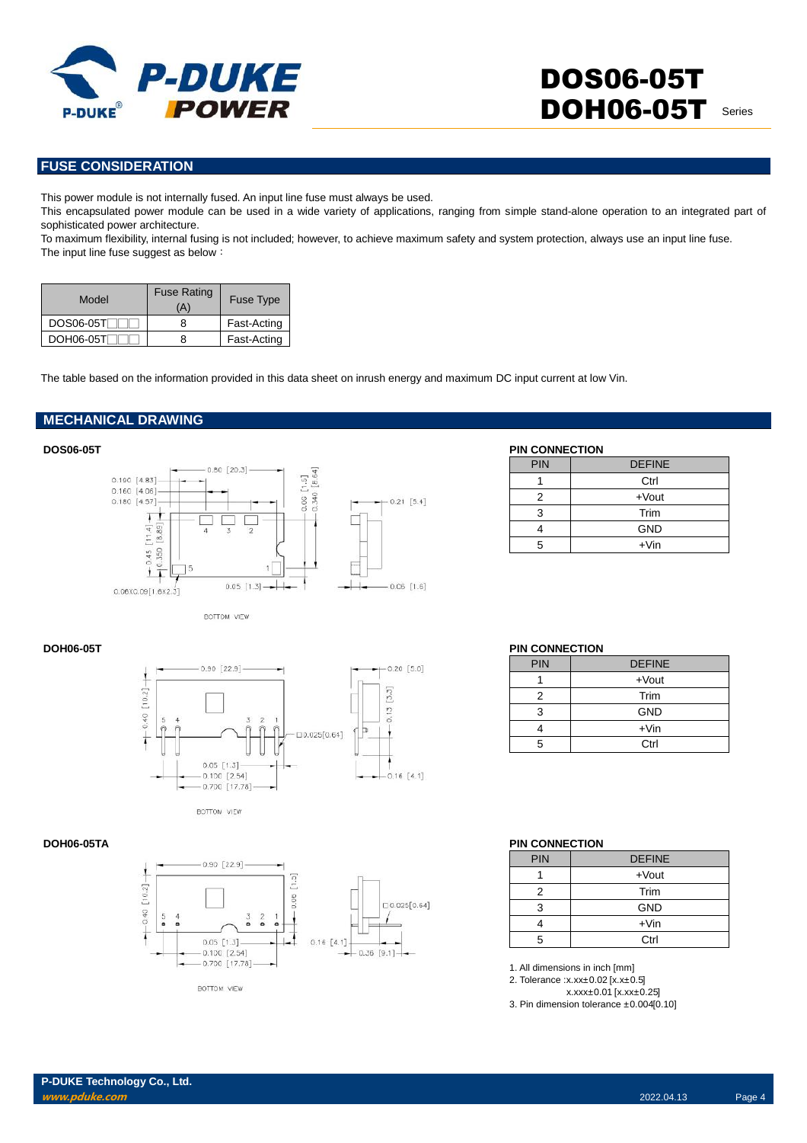

## **FUSE CONSIDERATION**

This power module is not internally fused. An input line fuse must always be used.

This encapsulated power module can be used in a wide variety of applications, ranging from simple stand-alone operation to an integrated part of sophisticated power architecture.

To maximum flexibility, internal fusing is not included; however, to achieve maximum safety and system protection, always use an input line fuse. The input line fuse suggest as below:

| Model     | <b>Fuse Rating</b><br>'A' | <b>Fuse Type</b> |  |
|-----------|---------------------------|------------------|--|
| DOS06-05T |                           | Fast-Acting      |  |
| DOH06-05T |                           | Fast-Acting      |  |

The table based on the information provided in this data sheet on inrush energy and maximum DC input current at low Vin.

### **MECHANICAL DRAWING**



BOTTOM VIEW



BOTTOM VIEW



**BOTTOM VIEW** 

### **DOS06-05T PIN CONNECTION**

| .  99 |               |  |  |  |  |
|-------|---------------|--|--|--|--|
| PIN   | <b>DEFINE</b> |  |  |  |  |
|       | Ctrl          |  |  |  |  |
| 2     | $+$ Vout      |  |  |  |  |
| 3     | Trim          |  |  |  |  |
|       | <b>GND</b>    |  |  |  |  |
| 5     | $+V$ in       |  |  |  |  |

### **DOH06-05T PIN CONNECTION**

| PIN | <b>DEFINE</b> |
|-----|---------------|
|     | $+$ Vout      |
| 2   | Trim          |
| З   | <b>GND</b>    |
|     | $+V$ in       |
| 5   | Ctrl          |

### **DOH06-05TA PIN CONNECTION**

| PIN | <b>DEFINE</b> |
|-----|---------------|
|     | $+$ Vout      |
| 2   | Trim          |
| 3   | <b>GND</b>    |
|     | $+V$ in       |
| 5   | Ctrl          |

1. All dimensions in inch [mm]

2. Tolerance :x.xx±0.02 [x.x±0.5]

x.xxx±0.01 [x.xx±0.25]

3. Pin dimension tolerance ±0.004[0.10]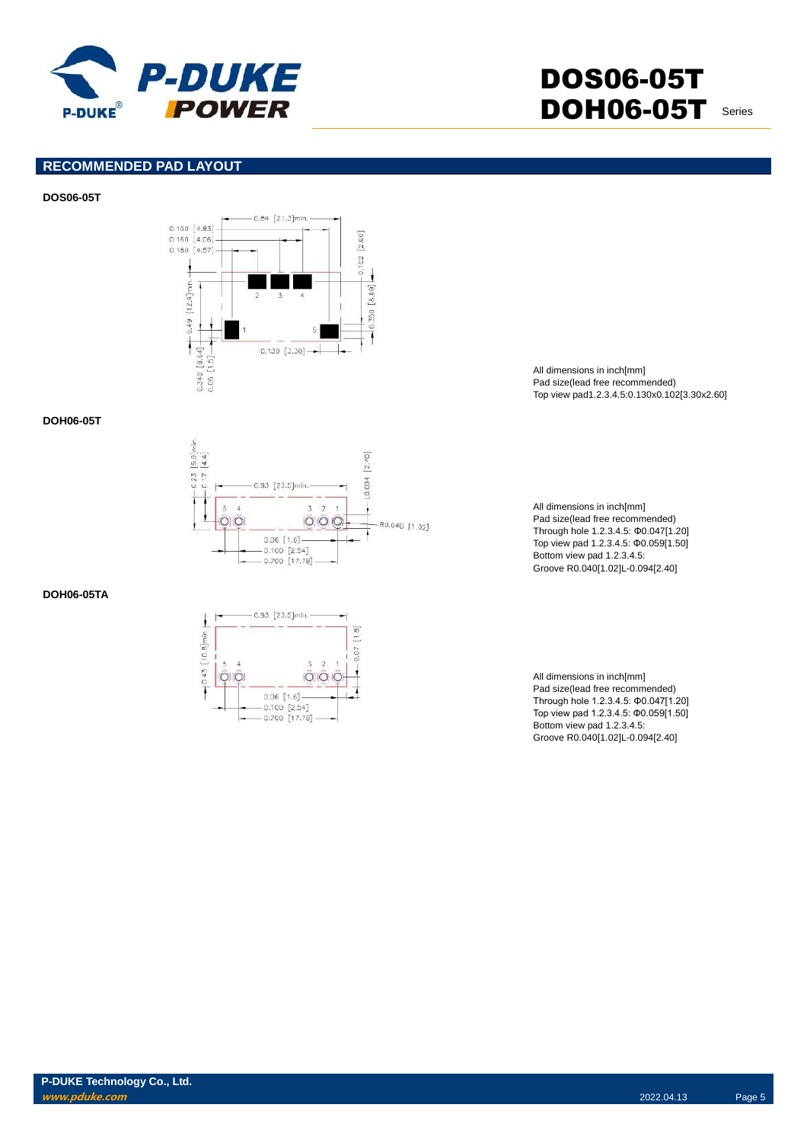

### **RECOMMENDED PAD LAYOUT**

#### **DOS06-05T**



#### **DOH06-05T**



#### **DOH06-05TA**



All dimensions in inch[mm] Pad size(lead free recommended) Top view pad1.2.3.4.5:0.130x0.102[3.30x2.60]

All dimensions in inch[mm] Pad size(lead free recommended) Through hole 1.2.3.4.5: Φ0.047[1.20] Top view pad 1.2.3.4.5: Φ0.059[1.50] Bottom view pad 1.2.3.4.5: Groove R0.040[1.02]L-0.094[2.40]

All dimensions in inch[mm] Pad size(lead free recommended) Through hole 1.2.3.4.5: Φ0.047[1.20] Top view pad 1.2.3.4.5: Φ0.059[1.50] Bottom view pad 1.2.3.4.5: Groove R0.040[1.02]L-0.094[2.40]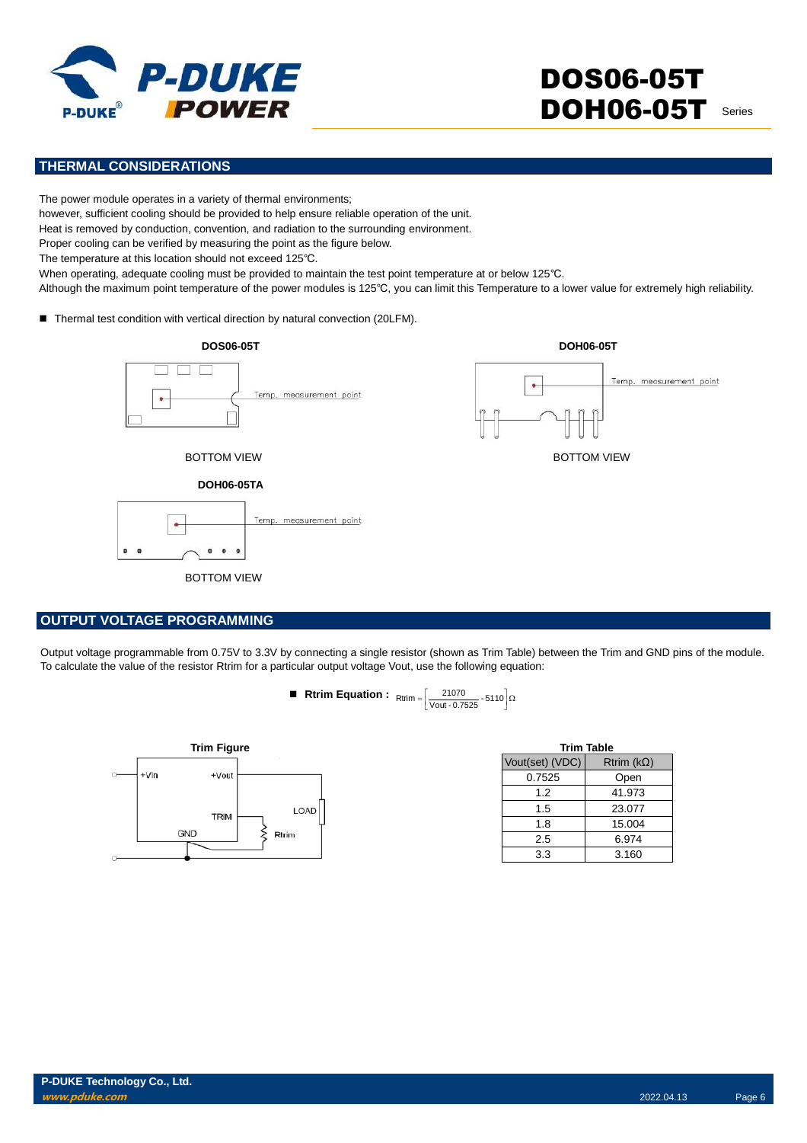

## **THERMAL CONSIDERATIONS**

The power module operates in a variety of thermal environments;

however, sufficient cooling should be provided to help ensure reliable operation of the unit.

Heat is removed by conduction, convention, and radiation to the surrounding environment.

Proper cooling can be verified by measuring the point as the figure below.

The temperature at this location should not exceed 125℃.

When operating, adequate cooling must be provided to maintain the test point temperature at or below 125℃.

Although the maximum point temperature of the power modules is 125℃, you can limit this Temperature to a lower value for extremely high reliability.

■ Thermal test condition with vertical direction by natural convection (20LFM).



### **OUTPUT VOLTAGE PROGRAMMING**

Output voltage programmable from 0.75V to 3.3V by connecting a single resistor (shown as Trim Table) between the Trim and GND pins of the module. To calculate the value of the resistor Rtrim for a particular output voltage Vout, use the following equation:

**Rtrim Equation :** 
$$
Rtrim = \left[\frac{21070}{Vout - 0.7525} \cdot 5110\right] \Omega
$$



| <b>Trim Table</b> |                     |  |  |
|-------------------|---------------------|--|--|
| Vout(set) (VDC)   | Rtrim ( $k\Omega$ ) |  |  |
| 0.7525            | Open                |  |  |
| 1.2               | 41.973              |  |  |
| 1.5               | 23.077              |  |  |
| 1.8               | 15.004              |  |  |
| 2.5               | 6.974               |  |  |
| 3.3               | 3.160               |  |  |